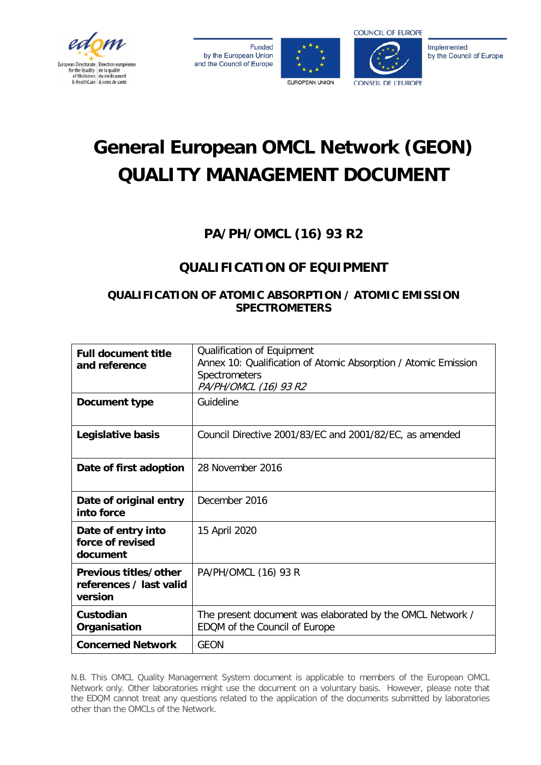

**Funded** by the European Union and the Council of Europe





Implemented by the Council of Europe

# **General European OMCL Network (GEON) QUALITY MANAGEMENT DOCUMENT**

# **PA/PH/OMCL (16) 93 R2**

# **QUALIFICATION OF EQUIPMENT**

# **QUALIFICATION OF ATOMIC ABSORPTION / ATOMIC EMISSION SPECTROMETERS**

| <b>Full document title</b><br>and reference                 | Qualification of Equipment<br>Annex 10: Qualification of Atomic Absorption / Atomic Emission<br><b>Spectrometers</b><br>PA/PH/OMCL (16) 93 R2 |
|-------------------------------------------------------------|-----------------------------------------------------------------------------------------------------------------------------------------------|
| Document type                                               | Guideline                                                                                                                                     |
| Legislative basis                                           | Council Directive 2001/83/EC and 2001/82/EC, as amended                                                                                       |
| Date of first adoption                                      | 28 November 2016                                                                                                                              |
| Date of original entry<br>into force                        | December 2016                                                                                                                                 |
| Date of entry into<br>force of revised<br>document          | 15 April 2020                                                                                                                                 |
| Previous titles/other<br>references / last valid<br>version | PA/PH/OMCL (16) 93 R                                                                                                                          |
| Custodian<br>Organisation                                   | The present document was elaborated by the OMCL Network /<br>EDQM of the Council of Europe                                                    |
| <b>Concerned Network</b>                                    | <b>GEON</b>                                                                                                                                   |

N.B. This OMCL Quality Management System document is applicable to members of the European OMCL Network only. Other laboratories might use the document on a voluntary basis. However, please note that the EDQM cannot treat any questions related to the application of the documents submitted by laboratories other than the OMCLs of the Network.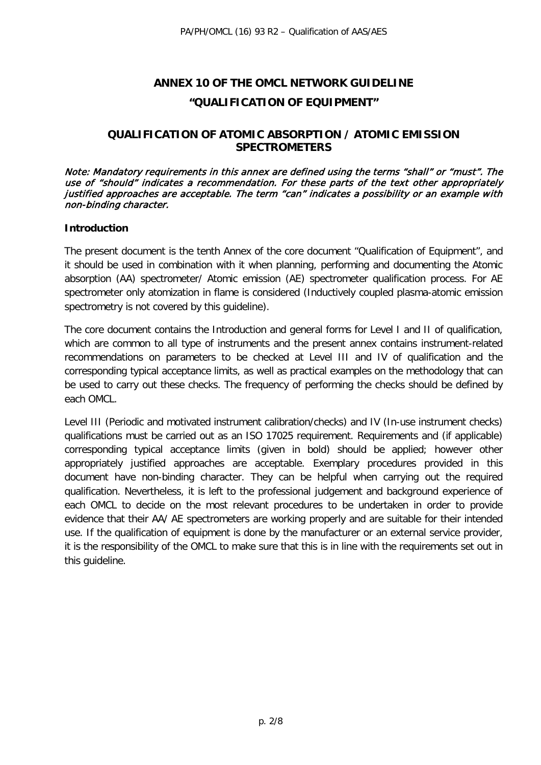# **ANNEX 10 OF THE OMCL NETWORK GUIDELINE "QUALIFICATION OF EQUIPMENT"**

#### **QUALIFICATION OF ATOMIC ABSORPTION / ATOMIC EMISSION SPECTROMETERS**

Note: Mandatory requirements in this annex are defined using the terms "shall" or "must". The use of "should" indicates a recommendation. For these parts of the text other appropriately justified approaches are acceptable. The term "can" indicates a possibility or an example with non-binding character.

#### **Introduction**

The present document is the tenth Annex of the core document "Qualification of Equipment", and it should be used in combination with it when planning, performing and documenting the Atomic absorption (AA) spectrometer/ Atomic emission (AE) spectrometer qualification process. For AE spectrometer only atomization in flame is considered (Inductively coupled plasma-atomic emission spectrometry is not covered by this guideline).

The core document contains the Introduction and general forms for Level I and II of qualification, which are common to all type of instruments and the present annex contains instrument-related recommendations on parameters to be checked at Level III and IV of qualification and the corresponding typical acceptance limits, as well as practical examples on the methodology that can be used to carry out these checks. The frequency of performing the checks should be defined by each OMCL.

Level III (Periodic and motivated instrument calibration/checks) and IV (In-use instrument checks) qualifications must be carried out as an ISO 17025 requirement. Requirements and (if applicable) corresponding typical acceptance limits (given in bold) should be applied; however other appropriately justified approaches are acceptable. Exemplary procedures provided in this document have non-binding character. They can be helpful when carrying out the required qualification. Nevertheless, it is left to the professional judgement and background experience of each OMCL to decide on the most relevant procedures to be undertaken in order to provide evidence that their AA/ AE spectrometers are working properly and are suitable for their intended use. If the qualification of equipment is done by the manufacturer or an external service provider, it is the responsibility of the OMCL to make sure that this is in line with the requirements set out in this guideline.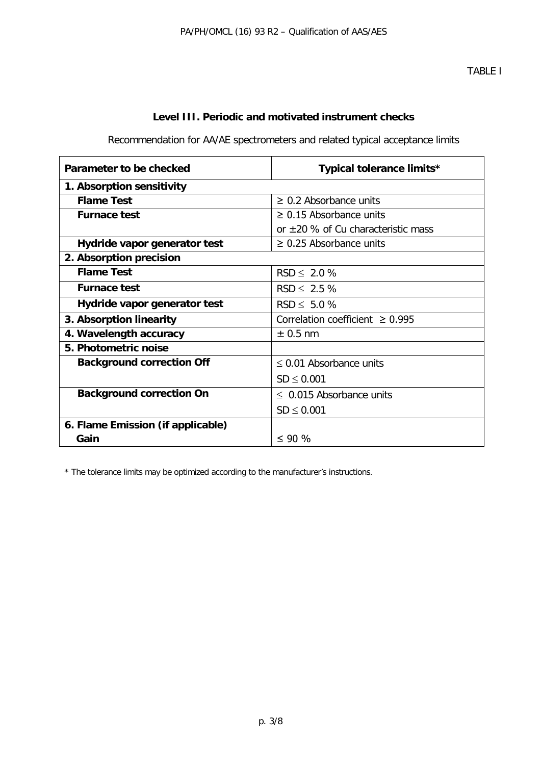# **Level III. Periodic and motivated instrument checks**

Recommendation for AA/AE spectrometers and related typical acceptance limits

| Parameter to be checked           | Typical tolerance limits*               |  |  |
|-----------------------------------|-----------------------------------------|--|--|
| 1. Absorption sensitivity         |                                         |  |  |
| <b>Flame Test</b>                 | $\geq$ 0.2 Absorbance units             |  |  |
| <b>Furnace test</b>               | $\geq$ 0.15 Absorbance units            |  |  |
|                                   | or $\pm 20$ % of Cu characteristic mass |  |  |
| Hydride vapor generator test      | $\geq$ 0.25 Absorbance units            |  |  |
| 2. Absorption precision           |                                         |  |  |
| <b>Flame Test</b>                 | $RSD \leq 2.0 \%$                       |  |  |
| <b>Furnace test</b>               | $RSD \leq 2.5 \%$                       |  |  |
| Hydride vapor generator test      | $RSD \le 5.0 \%$                        |  |  |
| 3. Absorption linearity           | Correlation coefficient $\geq 0.995$    |  |  |
| 4. Wavelength accuracy            | $\pm$ 0.5 nm                            |  |  |
| 5. Photometric noise              |                                         |  |  |
| <b>Background correction Off</b>  | $\leq$ 0.01 Absorbance units            |  |  |
|                                   | $SD \leq 0.001$                         |  |  |
| <b>Background correction On</b>   | $\leq$ 0.015 Absorbance units           |  |  |
|                                   | $SD \leq 0.001$                         |  |  |
| 6. Flame Emission (if applicable) |                                         |  |  |
| Gain                              | $\leq$ 90 %                             |  |  |

\* The tolerance limits may be optimized according to the manufacturer's instructions.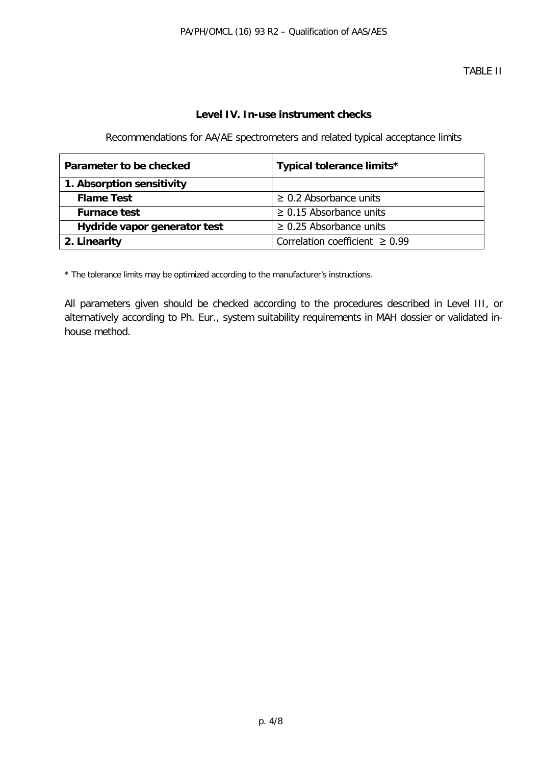#### **Level IV. In-use instrument checks**

Recommendations for AA/AE spectrometers and related typical acceptance limits

| Parameter to be checked      | Typical tolerance limits*           |
|------------------------------|-------------------------------------|
| 1. Absorption sensitivity    |                                     |
| <b>Flame Test</b>            | $\geq$ 0.2 Absorbance units         |
| <b>Furnace test</b>          | $\geq$ 0.15 Absorbance units        |
| Hydride vapor generator test | $\geq$ 0.25 Absorbance units        |
| 2. Linearity                 | Correlation coefficient $\geq 0.99$ |

\* The tolerance limits may be optimized according to the manufacturer's instructions.

All parameters given should be checked according to the procedures described in Level III, or alternatively according to Ph. Eur., system suitability requirements in MAH dossier or validated inhouse method.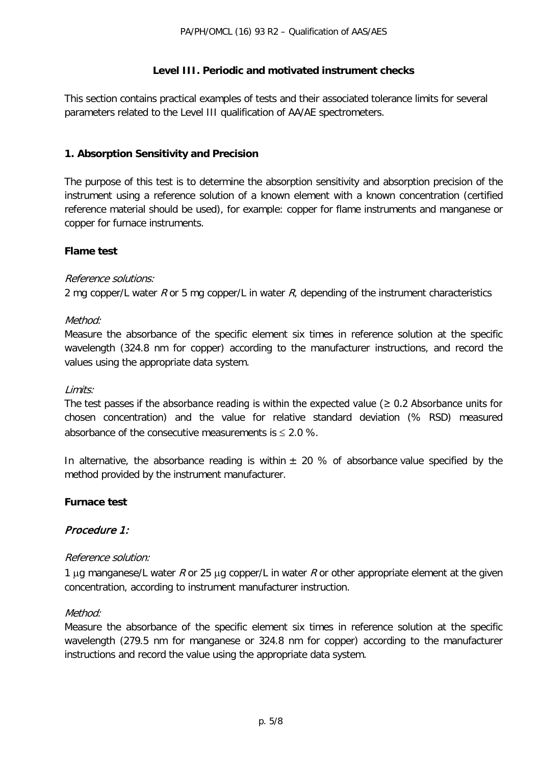#### **Level III. Periodic and motivated instrument checks**

This section contains practical examples of tests and their associated tolerance limits for several parameters related to the Level III qualification of AA/AE spectrometers.

#### **1. Absorption Sensitivity and Precision**

The purpose of this test is to determine the absorption sensitivity and absorption precision of the instrument using a reference solution of a known element with a known concentration (certified reference material should be used), for example: copper for flame instruments and manganese or copper for furnace instruments.

#### **Flame test**

#### Reference solutions:

2 mg copper/L water R or 5 mg copper/L in water R, depending of the instrument characteristics

#### Method:

Measure the absorbance of the specific element six times in reference solution at the specific wavelength (324.8 nm for copper) according to the manufacturer instructions, and record the values using the appropriate data system.

#### Limits:

The test passes if the absorbance reading is within the expected value ( $\geq$  0.2 Absorbance units for chosen concentration) and the value for relative standard deviation (% RSD) measured absorbance of the consecutive measurements is  $\leq 2.0$  %.

In alternative, the absorbance reading is within  $\pm$  20 % of absorbance value specified by the method provided by the instrument manufacturer.

#### **Furnace test**

#### Procedure 1:

#### Reference solution:

1 µg manganese/L water R or 25 µg copper/L in water R or other appropriate element at the given concentration, according to instrument manufacturer instruction.

#### Method:

Measure the absorbance of the specific element six times in reference solution at the specific wavelength (279.5 nm for manganese or 324.8 nm for copper) according to the manufacturer instructions and record the value using the appropriate data system.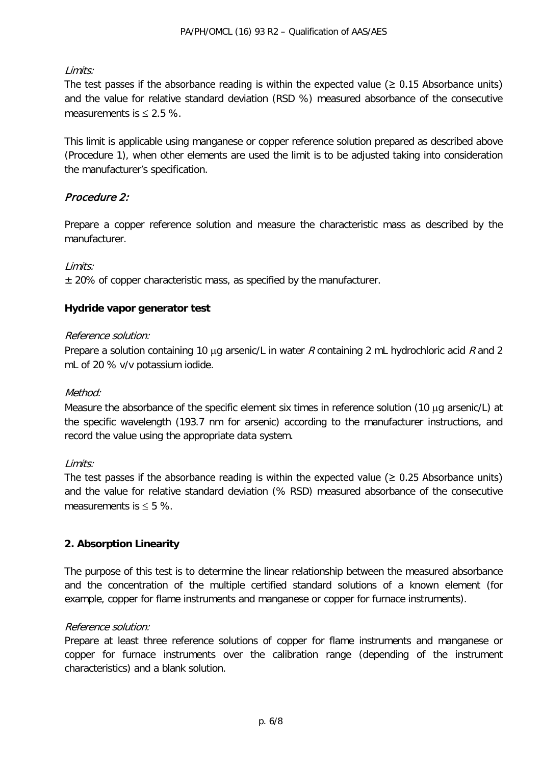# Limits:

The test passes if the absorbance reading is within the expected value ( $\geq 0.15$  Absorbance units) and the value for relative standard deviation (RSD %) measured absorbance of the consecutive measurements is  $\leq 2.5$  %.

This limit is applicable using manganese or copper reference solution prepared as described above (Procedure 1), when other elements are used the limit is to be adjusted taking into consideration the manufacturer's specification.

# Procedure 2:

Prepare a copper reference solution and measure the characteristic mass as described by the manufacturer.

### Limits:

± 20% of copper characteristic mass, as specified by the manufacturer.

### **Hydride vapor generator test**

#### Reference solution:

Prepare a solution containing 10 µg arsenic/L in water R containing 2 mL hydrochloric acid R and 2 mL of 20 % v/v potassium iodide.

#### Method:

Measure the absorbance of the specific element six times in reference solution (10 µg arsenic/L) at the specific wavelength (193.7 nm for arsenic) according to the manufacturer instructions, and record the value using the appropriate data system.

#### Limits:

The test passes if the absorbance reading is within the expected value ( $\geq$  0.25 Absorbance units) and the value for relative standard deviation (% RSD) measured absorbance of the consecutive measurements is  $\leq 5$  %.

# **2. Absorption Linearity**

The purpose of this test is to determine the linear relationship between the measured absorbance and the concentration of the multiple certified standard solutions of a known element (for example, copper for flame instruments and manganese or copper for furnace instruments).

#### Reference solution:

Prepare at least three reference solutions of copper for flame instruments and manganese or copper for furnace instruments over the calibration range (depending of the instrument characteristics) and a blank solution.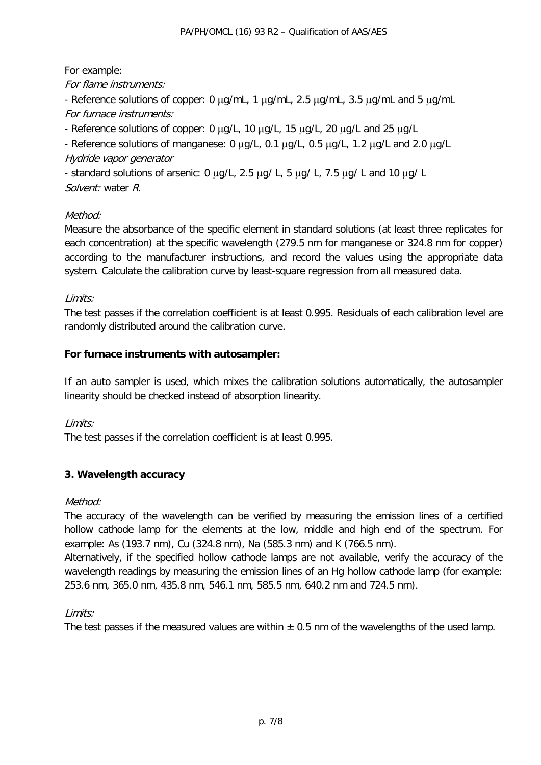For example:

For flame instruments:

- Reference solutions of copper: 0  $\mu$ g/mL, 1  $\mu$ g/mL, 2.5  $\mu$ g/mL, 3.5  $\mu$ g/mL and 5  $\mu$ g/mL For furnace instruments:

- Reference solutions of copper: 0 µg/L, 10 µg/L, 15 µg/L, 20 µg/L and 25 µg/L

- Reference solutions of manganese: 0 µg/L, 0.1 µg/L, 0.5 µg/L, 1.2 µg/L and 2.0 µg/L Hydride vapor generator

- standard solutions of arsenic: 0  $\mu$ g/L, 2.5  $\mu$ g/ L, 5  $\mu$ g/ L, 7.5  $\mu$ g/ L and 10  $\mu$ g/ L Solvent: water R.

### Method:

Measure the absorbance of the specific element in standard solutions (at least three replicates for each concentration) at the specific wavelength (279.5 nm for manganese or 324.8 nm for copper) according to the manufacturer instructions, and record the values using the appropriate data system. Calculate the calibration curve by least-square regression from all measured data.

### Limits:

The test passes if the correlation coefficient is at least 0.995. Residuals of each calibration level are randomly distributed around the calibration curve.

#### **For furnace instruments with autosampler:**

If an auto sampler is used, which mixes the calibration solutions automatically, the autosampler linearity should be checked instead of absorption linearity.

#### Limits:

The test passes if the correlation coefficient is at least 0.995.

# **3. Wavelength accuracy**

#### Method:

The accuracy of the wavelength can be verified by measuring the emission lines of a certified hollow cathode lamp for the elements at the low, middle and high end of the spectrum. For example: As (193.7 nm), Cu (324.8 nm), Na (585.3 nm) and K (766.5 nm).

Alternatively, if the specified hollow cathode lamps are not available, verify the accuracy of the wavelength readings by measuring the emission lines of an Hg hollow cathode lamp (for example: 253.6 nm, 365.0 nm, 435.8 nm, 546.1 nm, 585.5 nm, 640.2 nm and 724.5 nm).

#### Limits:

The test passes if the measured values are within  $\pm$  0.5 nm of the wavelengths of the used lamp.